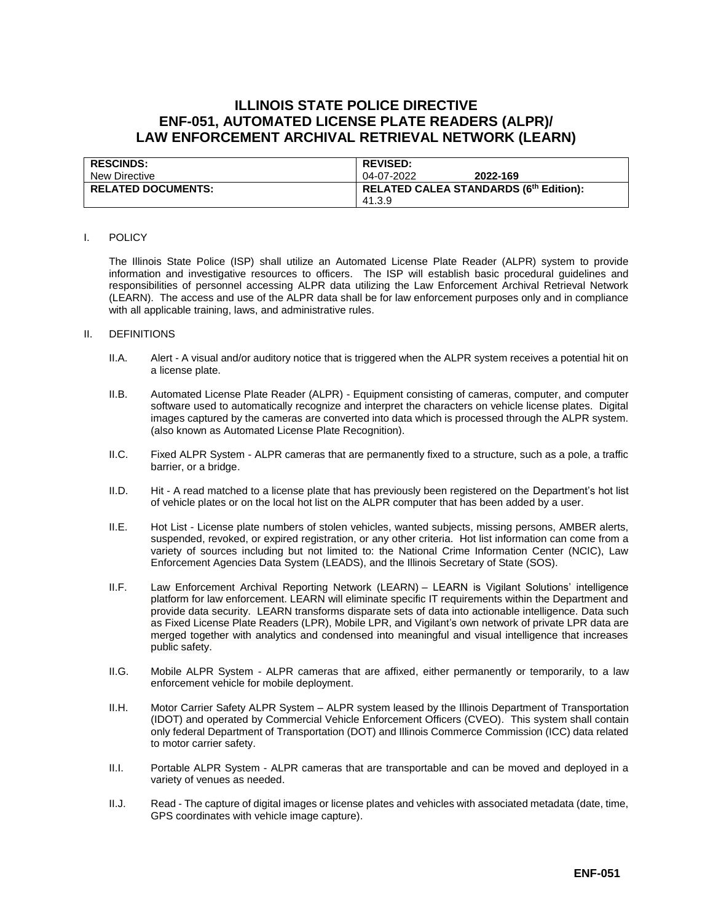# **ILLINOIS STATE POLICE DIRECTIVE ENF-051, AUTOMATED LICENSE PLATE READERS (ALPR)/ LAW ENFORCEMENT ARCHIVAL RETRIEVAL NETWORK (LEARN)**

| <b>RESCINDS:</b>          | <b>REVISED:</b>                        |
|---------------------------|----------------------------------------|
| New Directive             | 2022-169<br>04-07-2022                 |
| <b>RELATED DOCUMENTS:</b> | RELATED CALEA STANDARDS (6th Edition): |
|                           | 41.3.9                                 |

#### I. POLICY

The Illinois State Police (ISP) shall utilize an Automated License Plate Reader (ALPR) system to provide information and investigative resources to officers. The ISP will establish basic procedural guidelines and responsibilities of personnel accessing ALPR data utilizing the Law Enforcement Archival Retrieval Network (LEARN). The access and use of the ALPR data shall be for law enforcement purposes only and in compliance with all applicable training, laws, and administrative rules.

#### II. DEFINITIONS

- II.A. Alert A visual and/or auditory notice that is triggered when the ALPR system receives a potential hit on a license plate.
- II.B. Automated License Plate Reader (ALPR) Equipment consisting of cameras, computer, and computer software used to automatically recognize and interpret the characters on vehicle license plates. Digital images captured by the cameras are converted into data which is processed through the ALPR system. (also known as Automated License Plate Recognition).
- II.C. Fixed ALPR System ALPR cameras that are permanently fixed to a structure, such as a pole, a traffic barrier, or a bridge.
- II.D. Hit A read matched to a license plate that has previously been registered on the Department's hot list of vehicle plates or on the local hot list on the ALPR computer that has been added by a user.
- II.E. Hot List License plate numbers of stolen vehicles, wanted subjects, missing persons, AMBER alerts, suspended, revoked, or expired registration, or any other criteria. Hot list information can come from a variety of sources including but not limited to: the National Crime Information Center (NCIC), Law Enforcement Agencies Data System (LEADS), and the Illinois Secretary of State (SOS).
- II.F. Law Enforcement Archival Reporting Network (LEARN) LEARN is Vigilant Solutions' intelligence platform for law enforcement. LEARN will eliminate specific IT requirements within the Department and provide data security. LEARN transforms disparate sets of data into actionable intelligence. Data such as Fixed License Plate Readers (LPR), Mobile LPR, and Vigilant's own network of private LPR data are merged together with analytics and condensed into meaningful and visual intelligence that increases public safety.
- II.G. Mobile ALPR System ALPR cameras that are affixed, either permanently or temporarily, to a law enforcement vehicle for mobile deployment.
- II.H. Motor Carrier Safety ALPR System ALPR system leased by the Illinois Department of Transportation (IDOT) and operated by Commercial Vehicle Enforcement Officers (CVEO). This system shall contain only federal Department of Transportation (DOT) and Illinois Commerce Commission (ICC) data related to motor carrier safety.
- II.I. Portable ALPR System ALPR cameras that are transportable and can be moved and deployed in a variety of venues as needed.
- II.J. Read The capture of digital images or license plates and vehicles with associated metadata (date, time, GPS coordinates with vehicle image capture).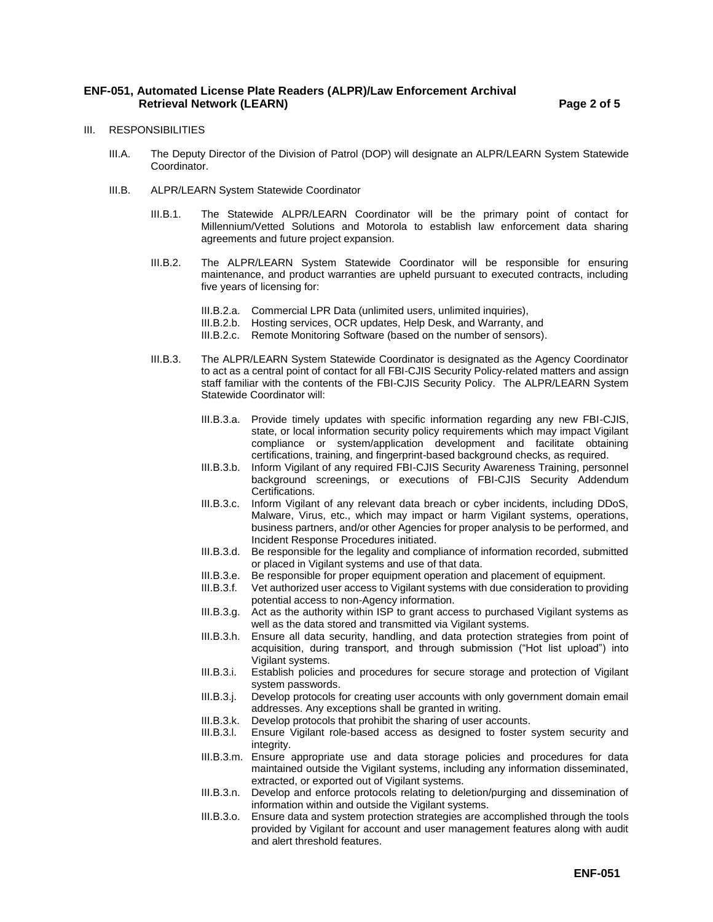# **ENF-051, Automated License Plate Readers (ALPR)/Law Enforcement Archival Retrieval Network (LEARN) Page 2 of 5**

- III. RESPONSIBILITIES
	- III.A. The Deputy Director of the Division of Patrol (DOP) will designate an ALPR/LEARN System Statewide Coordinator.
	- III.B. ALPR/LEARN System Statewide Coordinator
		- III.B.1. The Statewide ALPR/LEARN Coordinator will be the primary point of contact for Millennium/Vetted Solutions and Motorola to establish law enforcement data sharing agreements and future project expansion.
		- III.B.2. The ALPR/LEARN System Statewide Coordinator will be responsible for ensuring maintenance, and product warranties are upheld pursuant to executed contracts, including five years of licensing for:
			- III.B.2.a. Commercial LPR Data (unlimited users, unlimited inquiries),
			- III.B.2.b. Hosting services, OCR updates, Help Desk, and Warranty, and
			- III.B.2.c. Remote Monitoring Software (based on the number of sensors).
		- III.B.3. The ALPR/LEARN System Statewide Coordinator is designated as the Agency Coordinator to act as a central point of contact for all FBI-CJIS Security Policy-related matters and assign staff familiar with the contents of the FBI-CJIS Security Policy. The ALPR/LEARN System Statewide Coordinator will:
			- III.B.3.a. Provide timely updates with specific information regarding any new FBI-CJIS, state, or local information security policy requirements which may impact Vigilant compliance or system/application development and facilitate obtaining certifications, training, and fingerprint-based background checks, as required.
			- III.B.3.b. Inform Vigilant of any required FBI-CJIS Security Awareness Training, personnel background screenings, or executions of FBI-CJIS Security Addendum Certifications.
			- III.B.3.c. Inform Vigilant of any relevant data breach or cyber incidents, including DDoS, Malware, Virus, etc., which may impact or harm Vigilant systems, operations, business partners, and/or other Agencies for proper analysis to be performed, and Incident Response Procedures initiated.
			- III.B.3.d. Be responsible for the legality and compliance of information recorded, submitted or placed in Vigilant systems and use of that data.
			- III.B.3.e. Be responsible for proper equipment operation and placement of equipment.<br>III.B.3.f. Vet authorized user access to Vigilant systems with due consideration to provi
			- Vet authorized user access to Vigilant systems with due consideration to providing potential access to non-Agency information.
			- III.B.3.g. Act as the authority within ISP to grant access to purchased Vigilant systems as well as the data stored and transmitted via Vigilant systems.
			- III.B.3.h. Ensure all data security, handling, and data protection strategies from point of acquisition, during transport, and through submission ("Hot list upload") into Vigilant systems.
			- III.B.3.i. Establish policies and procedures for secure storage and protection of Vigilant system passwords.
			- III.B.3.j. Develop protocols for creating user accounts with only government domain email addresses. Any exceptions shall be granted in writing.
			- III.B.3.k. Develop protocols that prohibit the sharing of user accounts.
			- III.B.3.l. Ensure Vigilant role-based access as designed to foster system security and integrity.
			- III.B.3.m. Ensure appropriate use and data storage policies and procedures for data maintained outside the Vigilant systems, including any information disseminated, extracted, or exported out of Vigilant systems.
			- III.B.3.n. Develop and enforce protocols relating to deletion/purging and dissemination of information within and outside the Vigilant systems.
			- III.B.3.o. Ensure data and system protection strategies are accomplished through the tools provided by Vigilant for account and user management features along with audit and alert threshold features.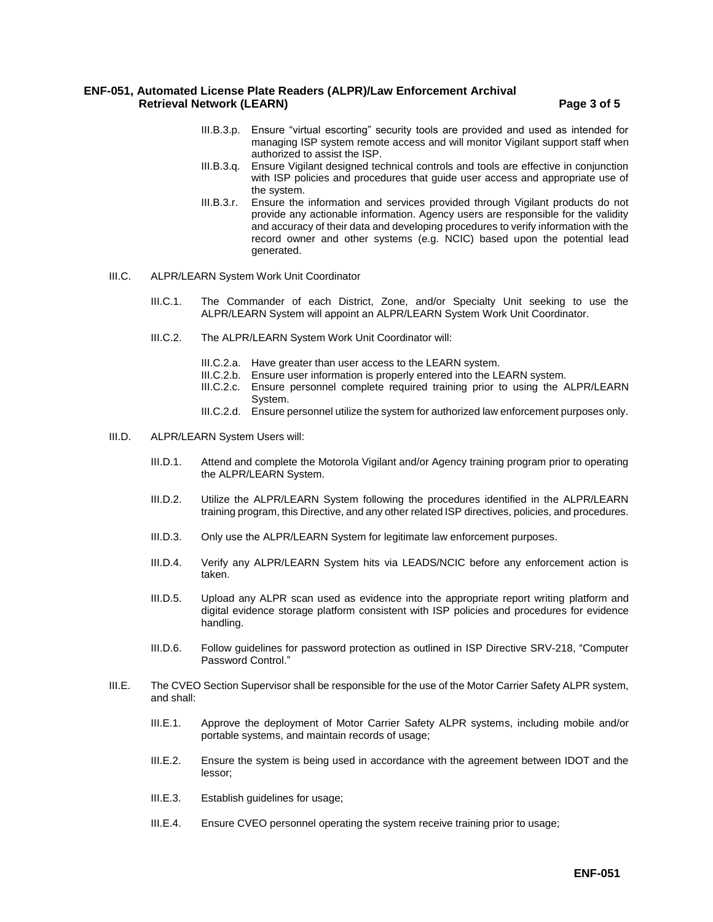# **ENF-051, Automated License Plate Readers (ALPR)/Law Enforcement Archival Retrieval Network (LEARN) Page 3 of 5**

- III.B.3.p. Ensure "virtual escorting" security tools are provided and used as intended for managing ISP system remote access and will monitor Vigilant support staff when authorized to assist the ISP.
- III.B.3.q. Ensure Vigilant designed technical controls and tools are effective in conjunction with ISP policies and procedures that guide user access and appropriate use of the system.
- III.B.3.r. Ensure the information and services provided through Vigilant products do not provide any actionable information. Agency users are responsible for the validity and accuracy of their data and developing procedures to verify information with the record owner and other systems (e.g. NCIC) based upon the potential lead generated.
- III.C. ALPR/LEARN System Work Unit Coordinator
	- III.C.1. The Commander of each District, Zone, and/or Specialty Unit seeking to use the ALPR/LEARN System will appoint an ALPR/LEARN System Work Unit Coordinator.
	- III.C.2. The ALPR/LEARN System Work Unit Coordinator will:
		- III.C.2.a. Have greater than user access to the LEARN system.
		- III.C.2.b. Ensure user information is properly entered into the LEARN system.
		- III.C.2.c. Ensure personnel complete required training prior to using the ALPR/LEARN System.
		- III.C.2.d. Ensure personnel utilize the system for authorized law enforcement purposes only.
- III.D. ALPR/LEARN System Users will:
	- III.D.1. Attend and complete the Motorola Vigilant and/or Agency training program prior to operating the ALPR/LEARN System.
	- III.D.2. Utilize the ALPR/LEARN System following the procedures identified in the ALPR/LEARN training program, this Directive, and any other related ISP directives, policies, and procedures.
	- III.D.3. Only use the ALPR/LEARN System for legitimate law enforcement purposes.
	- III.D.4. Verify any ALPR/LEARN System hits via LEADS/NCIC before any enforcement action is taken.
	- III.D.5. Upload any ALPR scan used as evidence into the appropriate report writing platform and digital evidence storage platform consistent with ISP policies and procedures for evidence handling.
	- III.D.6. Follow guidelines for password protection as outlined in ISP Directive SRV-218, "Computer Password Control."
- III.E. The CVEO Section Supervisor shall be responsible for the use of the Motor Carrier Safety ALPR system, and shall:
	- III.E.1. Approve the deployment of Motor Carrier Safety ALPR systems, including mobile and/or portable systems, and maintain records of usage;
	- III.E.2. Ensure the system is being used in accordance with the agreement between IDOT and the lessor;
	- III.E.3. Establish guidelines for usage;
	- III.E.4. Ensure CVEO personnel operating the system receive training prior to usage;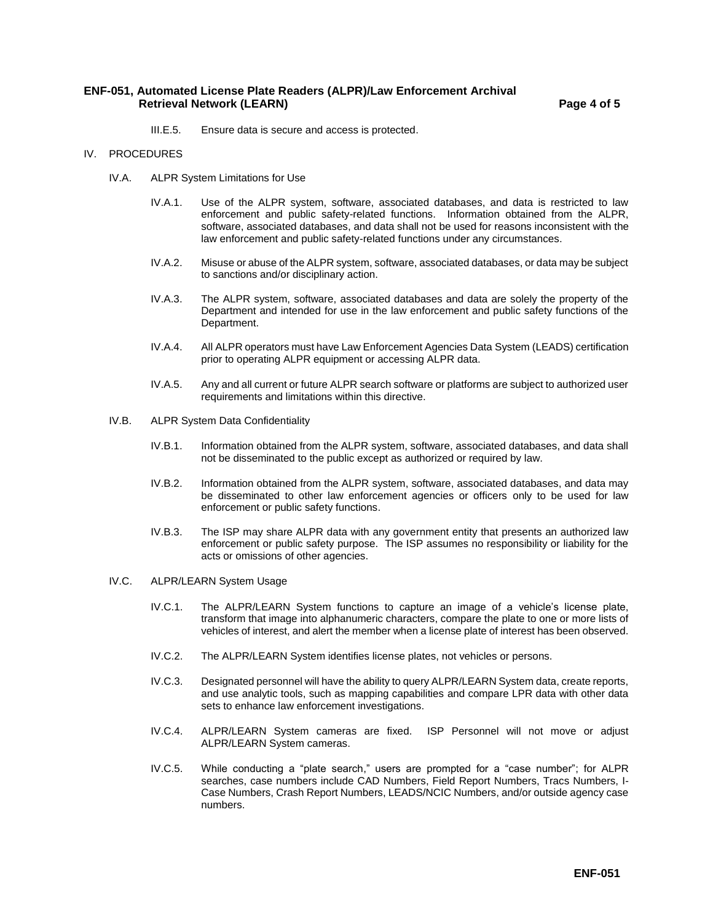# **ENF-051, Automated License Plate Readers (ALPR)/Law Enforcement Archival Retrieval Network (LEARN) Page 4 of 5**

- III.E.5. Ensure data is secure and access is protected.
- IV. PROCEDURES
	- IV.A. ALPR System Limitations for Use
		- IV.A.1. Use of the ALPR system, software, associated databases, and data is restricted to law enforcement and public safety-related functions. Information obtained from the ALPR, software, associated databases, and data shall not be used for reasons inconsistent with the law enforcement and public safety-related functions under any circumstances.
		- IV.A.2. Misuse or abuse of the ALPR system, software, associated databases, or data may be subject to sanctions and/or disciplinary action.
		- IV.A.3. The ALPR system, software, associated databases and data are solely the property of the Department and intended for use in the law enforcement and public safety functions of the Department.
		- IV.A.4. All ALPR operators must have Law Enforcement Agencies Data System (LEADS) certification prior to operating ALPR equipment or accessing ALPR data.
		- IV.A.5. Any and all current or future ALPR search software or platforms are subject to authorized user requirements and limitations within this directive.
	- IV.B. ALPR System Data Confidentiality
		- IV.B.1. Information obtained from the ALPR system, software, associated databases, and data shall not be disseminated to the public except as authorized or required by law.
		- IV.B.2. Information obtained from the ALPR system, software, associated databases, and data may be disseminated to other law enforcement agencies or officers only to be used for law enforcement or public safety functions.
		- IV.B.3. The ISP may share ALPR data with any government entity that presents an authorized law enforcement or public safety purpose. The ISP assumes no responsibility or liability for the acts or omissions of other agencies.
	- IV.C. ALPR/LEARN System Usage
		- IV.C.1. The ALPR/LEARN System functions to capture an image of a vehicle's license plate, transform that image into alphanumeric characters, compare the plate to one or more lists of vehicles of interest, and alert the member when a license plate of interest has been observed.
		- IV.C.2. The ALPR/LEARN System identifies license plates, not vehicles or persons.
		- IV.C.3. Designated personnel will have the ability to query ALPR/LEARN System data, create reports, and use analytic tools, such as mapping capabilities and compare LPR data with other data sets to enhance law enforcement investigations.
		- IV.C.4. ALPR/LEARN System cameras are fixed. ISP Personnel will not move or adjust ALPR/LEARN System cameras.
		- IV.C.5. While conducting a "plate search," users are prompted for a "case number"; for ALPR searches, case numbers include CAD Numbers, Field Report Numbers, Tracs Numbers, I-Case Numbers, Crash Report Numbers, LEADS/NCIC Numbers, and/or outside agency case numbers.